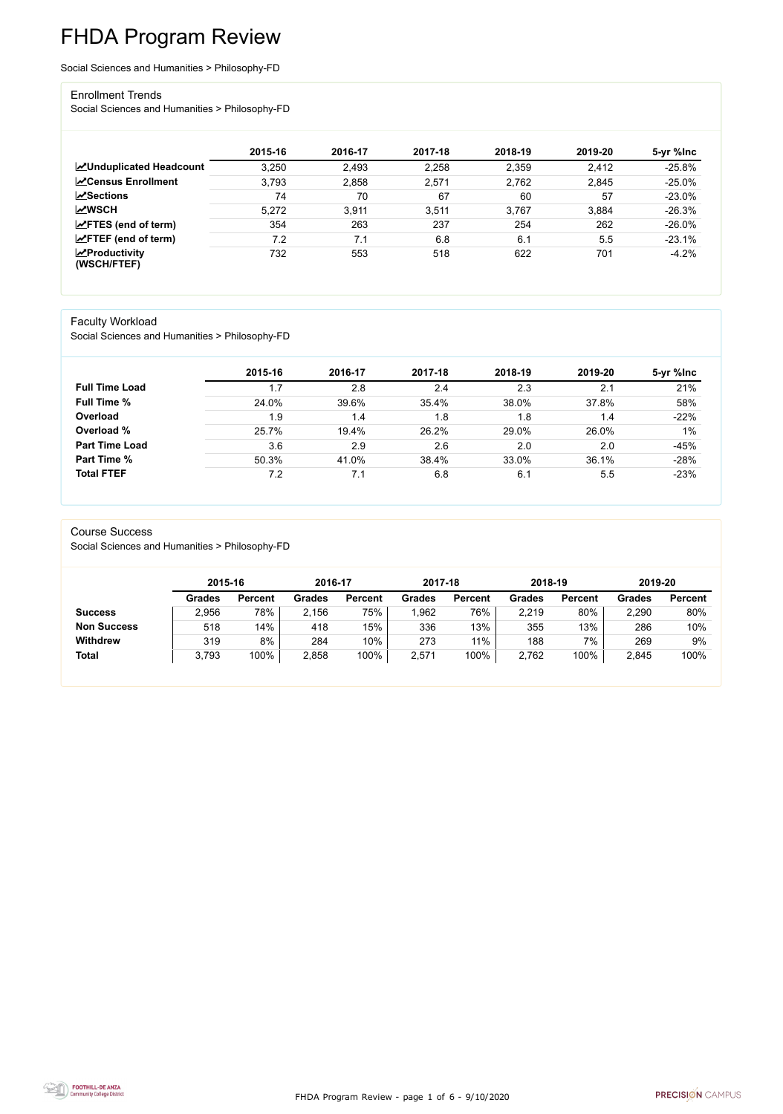FHDA Program Review - page 1 of 6 - 9/10/2020



# FHDA Program Review

Social Sciences and Humanities > Philosophy-FD

#### Enrollment Trends

Social Sciences and Humanities > Philosophy-FD

|                                          | 2015-16 | 2016-17 | 2017-18 | 2018-19 | 2019-20 | 5-yr %lnc |
|------------------------------------------|---------|---------|---------|---------|---------|-----------|
| <b>ZUnduplicated Headcount</b>           | 3,250   | 2,493   | 2,258   | 2,359   | 2,412   | $-25.8%$  |
| <b>∠</b> Census Enrollment               | 3,793   | 2,858   | 2,571   | 2,762   | 2,845   | $-25.0%$  |
| $\sqrt{S}$ ections                       | 74      | 70      | 67      | 60      | 57      | $-23.0%$  |
| <b>MWSCH</b>                             | 5,272   | 3,911   | 3,511   | 3,767   | 3,884   | $-26.3%$  |
| $\angle$ FTES (end of term)              | 354     | 263     | 237     | 254     | 262     | $-26.0%$  |
| $\angle$ FTEF (end of term)              | 7.2     | 7.1     | 6.8     | 6.1     | 5.5     | $-23.1%$  |
| $\mathbf{Z}$ Productivity<br>(WSCH/FTEF) | 732     | 553     | 518     | 622     | 701     | $-4.2%$   |

#### Faculty Workload

Social Sciences and Humanities > Philosophy-FD

|                       | 2015-16 | 2016-17 | 2017-18 | 2018-19 | 2019-20 | 5-yr %lnc |
|-----------------------|---------|---------|---------|---------|---------|-----------|
| <b>Full Time Load</b> | 1.7     | 2.8     | 2.4     | 2.3     | 2.1     | 21%       |
| <b>Full Time %</b>    | 24.0%   | 39.6%   | 35.4%   | 38.0%   | 37.8%   | 58%       |
| Overload              | 1.9     | 1.4     | 1.8     | 1.8     | 1.4     | $-22%$    |
| Overload %            | 25.7%   | 19.4%   | 26.2%   | 29.0%   | 26.0%   | 1%        |
| <b>Part Time Load</b> | 3.6     | 2.9     | 2.6     | 2.0     | 2.0     | $-45%$    |
| <b>Part Time %</b>    | 50.3%   | 41.0%   | 38.4%   | 33.0%   | 36.1%   | $-28%$    |
| <b>Total FTEF</b>     | 7.2     | 7.1     | 6.8     | 6.1     | 5.5     | $-23%$    |

#### Course Success

Social Sciences and Humanities > Philosophy-FD

|                    |               | 2015-16        |        | 2016-17        | 2017-18 |                | 2018-19       |                | 2019-20       |                |
|--------------------|---------------|----------------|--------|----------------|---------|----------------|---------------|----------------|---------------|----------------|
|                    | <b>Grades</b> | <b>Percent</b> | Grades | <b>Percent</b> | Grades  | <b>Percent</b> | <b>Grades</b> | <b>Percent</b> | <b>Grades</b> | <b>Percent</b> |
| <b>Success</b>     | 2,956         | 78%            | 2,156  | 75%            | ,962    | 76%            | 2,219         | 80%            | 2,290         | 80%            |
| <b>Non Success</b> | 518           | 14%            | 418    | 15%            | 336     | 13%            | 355           | 13%            | 286           | 10%            |
| <b>Withdrew</b>    | 319           | 8%             | 284    | 10%            | 273     | 11%            | 188           | 7%             | 269           | 9%             |
| <b>Total</b>       | 3,793         | 100%           | 2,858  | 100%           | 2,571   | 100%           | 2,762         | 100%           | 2,845         | 100%           |

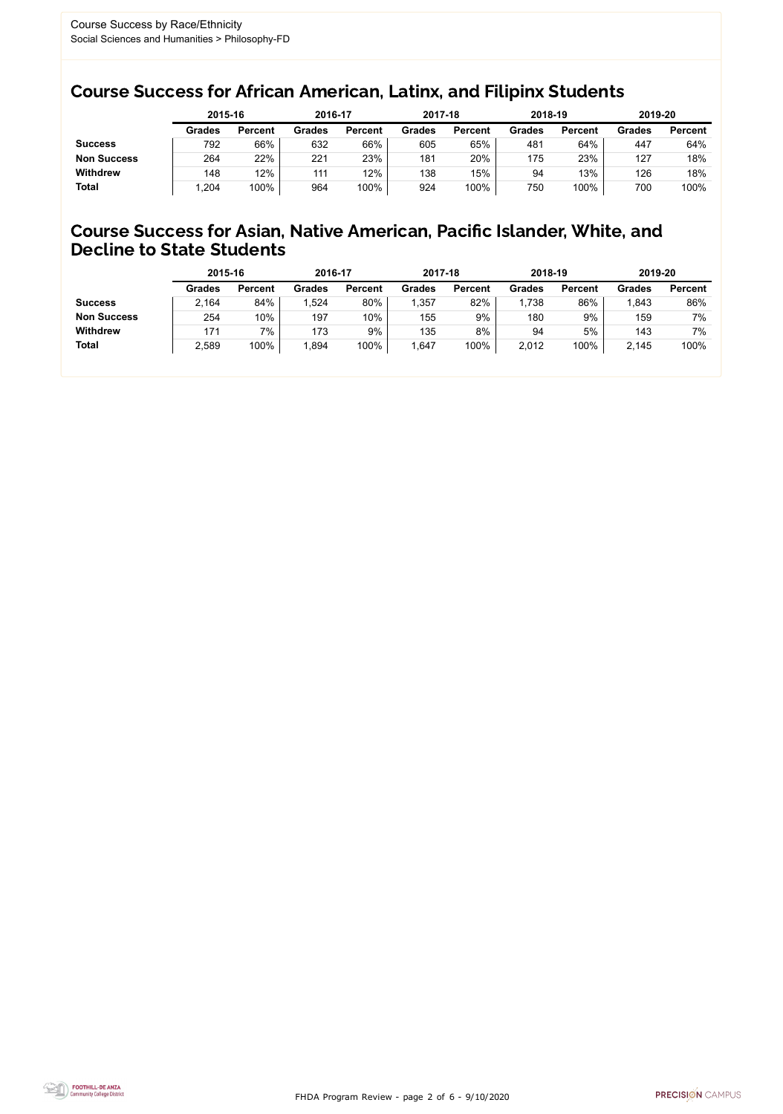FHDA Program Review - page 2 of 6 - 9/10/2020



### Course Success for African American, Latinx, and Filipinx Students

### Course Success for Asian, Native American, Pacific Islander, White, and Decline to State Students

|                    | 2015-16       |                | 2016-17       |                | 2017-18       |                | 2018-19       |                | 2019-20       |                |
|--------------------|---------------|----------------|---------------|----------------|---------------|----------------|---------------|----------------|---------------|----------------|
|                    | <b>Grades</b> | <b>Percent</b> | <b>Grades</b> | <b>Percent</b> | <b>Grades</b> | <b>Percent</b> | <b>Grades</b> | <b>Percent</b> | <b>Grades</b> | <b>Percent</b> |
| <b>Success</b>     | 792           | 66%            | 632           | 66%            | 605           | 65%            | 481           | 64%            | 447           | 64%            |
| <b>Non Success</b> | 264           | 22%            | 221           | 23%            | 181           | 20%            | 175           | 23%            | 127           | 18%            |
| <b>Withdrew</b>    | 148           | 12%            | 111           | 12%            | 138           | 15%            | 94            | 13%            | 126           | 18%            |
| <b>Total</b>       | .204          | 100%           | 964           | 100%           | 924           | 100%           | 750           | 100%           | 700           | 100%           |

|                    | 2015-16       |                | 2016-17       |                | 2017-18       |                | 2018-19       |                | 2019-20       |                |
|--------------------|---------------|----------------|---------------|----------------|---------------|----------------|---------------|----------------|---------------|----------------|
|                    | <b>Grades</b> | <b>Percent</b> | <b>Grades</b> | <b>Percent</b> | <b>Grades</b> | <b>Percent</b> | <b>Grades</b> | <b>Percent</b> | <b>Grades</b> | <b>Percent</b> |
| <b>Success</b>     | 2,164         | 84%            | 1,524         | 80%            | ,357          | 82%            | ,738          | 86%            | 1,843         | 86%            |
| <b>Non Success</b> | 254           | 10%            | 197           | 10%            | 155           | 9%             | 180           | 9%             | 159           | 7%             |
| <b>Withdrew</b>    | 171           | 7%             | 173           | 9%             | 135           | 8%             | 94            | 5%             | 143           | 7%             |
| <b>Total</b>       | 2,589         | 100%           | 1,894         | 100%           | ,647          | 100%           | 2,012         | 100%           | 2,145         | 100%           |
|                    |               |                |               |                |               |                |               |                |               |                |

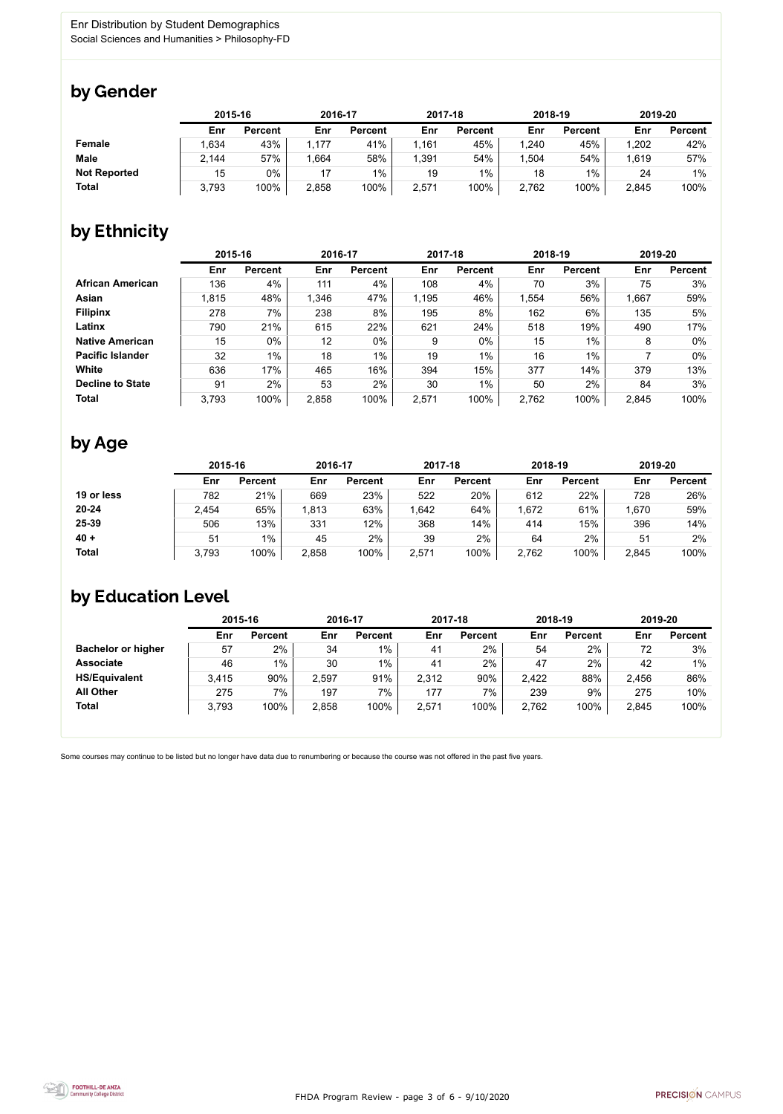

Some courses may continue to be listed but no longer have data due to renumbering or because the course was not offered in the past five years.



### by Gender

|                     | 2015-16 |                |       | 2016-17        |       | 2017-18        | 2018-19 |                | 2019-20 |                |
|---------------------|---------|----------------|-------|----------------|-------|----------------|---------|----------------|---------|----------------|
|                     | Enr     | <b>Percent</b> | Enr   | <b>Percent</b> | Enr   | <b>Percent</b> | Enr     | <b>Percent</b> | Enr     | <b>Percent</b> |
| <b>Female</b>       | .634    | 43%            | .177  | 41%            | 1,161 | 45%            | 1,240   | 45%            | 1,202   | 42%            |
| <b>Male</b>         | 2,144   | 57%            | .664  | 58%            | 1,391 | 54%            | ,504    | 54%            | 1,619   | 57%            |
| <b>Not Reported</b> | 15      | 0%             |       | 1%             | 19    | 1%             | 18      | 1%             | 24      | $1\%$          |
| <b>Total</b>        | 3,793   | 100%           | 2,858 | 100%           | 2,571 | 100%           | 2,762   | 100%           | 2,845   | 100%           |

### by Ethnicity

|                         | 2015-16 |                |       | 2016-17        |       | 2017-18        | 2018-19 |                | 2019-20 |                |
|-------------------------|---------|----------------|-------|----------------|-------|----------------|---------|----------------|---------|----------------|
|                         | Enr     | <b>Percent</b> | Enr   | <b>Percent</b> | Enr   | <b>Percent</b> | Enr     | <b>Percent</b> | Enr     | <b>Percent</b> |
| <b>African American</b> | 136     | 4%             | 111   | 4%             | 108   | 4%             | 70      | 3%             | 75      | 3%             |
| <b>Asian</b>            | 1,815   | 48%            | 1,346 | 47%            | 1,195 | 46%            | 1,554   | 56%            | 1,667   | 59%            |
| <b>Filipinx</b>         | 278     | 7%             | 238   | 8%             | 195   | 8%             | 162     | 6%             | 135     | 5%             |
| Latinx                  | 790     | 21%            | 615   | 22%            | 621   | 24%            | 518     | 19%            | 490     | 17%            |
| <b>Native American</b>  | 15      | $0\%$          | 12    | $0\%$          | 9     | $0\%$          | 15      | $1\%$          | 8       | $0\%$          |
| <b>Pacific Islander</b> | 32      | $1\%$          | 18    | $1\%$          | 19    | $1\%$          | 16      | $1\%$          |         | $0\%$          |
| White                   | 636     | 17%            | 465   | 16%            | 394   | 15%            | 377     | 14%            | 379     | 13%            |
| <b>Decline to State</b> | 91      | 2%             | 53    | 2%             | 30    | $1\%$          | 50      | 2%             | 84      | 3%             |
| <b>Total</b>            | 3,793   | 100%           | 2,858 | 100%           | 2,571 | 100%           | 2,762   | 100%           | 2,845   | 100%           |

## by Age

|              | 2015-16 |                | 2016-17 |                | 2017-18 |                | 2018-19 |                | 2019-20 |                |
|--------------|---------|----------------|---------|----------------|---------|----------------|---------|----------------|---------|----------------|
|              | Enr     | <b>Percent</b> | Enr     | <b>Percent</b> | Enr     | <b>Percent</b> | Enr     | <b>Percent</b> | Enr     | <b>Percent</b> |
| 19 or less   | 782     | 21%            | 669     | 23%            | 522     | 20%            | 612     | 22%            | 728     | 26%            |
| $20 - 24$    | 2,454   | 65%            | 1,813   | 63%            | ,642    | 64%            | .672    | 61%            | 1,670   | 59%            |
| 25-39        | 506     | 13%            | 331     | 12%            | 368     | 14%            | 414     | 15%            | 396     | 14%            |
| $40 +$       | 51      | $1\%$          | 45      | 2%             | 39      | 2%             | 64      | 2%             | 51      | 2%             |
| <b>Total</b> | 3,793   | 100%           | 2,858   | 100%           | 2,571   | 100%           | 2,762   | 100%           | 2,845   | 100%           |

### by Education Level

|                           | 2015-16 |                |       | 2016-17        |       | 2017-18        | 2018-19 |                | 2019-20 |                |
|---------------------------|---------|----------------|-------|----------------|-------|----------------|---------|----------------|---------|----------------|
|                           | Enr     | <b>Percent</b> | Enr   | <b>Percent</b> | Enr   | <b>Percent</b> | Enr     | <b>Percent</b> | Enr     | <b>Percent</b> |
| <b>Bachelor or higher</b> | 57      | 2%             | 34    | $1\%$          | 41    | 2%             | 54      | 2%             | 72      | 3%             |
| <b>Associate</b>          | 46      | $1\%$          | 30    | $1\%$          | 41    | 2%             | 47      | 2%             | 42      | $1\%$          |
| <b>HS/Equivalent</b>      | 3,415   | 90%            | 2,597 | 91%            | 2,312 | 90%            | 2,422   | 88%            | 2,456   | 86%            |
| <b>All Other</b>          | 275     | 7%             | 197   | 7%             | 177   | 7%             | 239     | 9%             | 275     | 10%            |
| <b>Total</b>              | 3,793   | 100%           | 2,858 | 100%           | 2,571 | 100%           | 2,762   | 100%           | 2,845   | 100%           |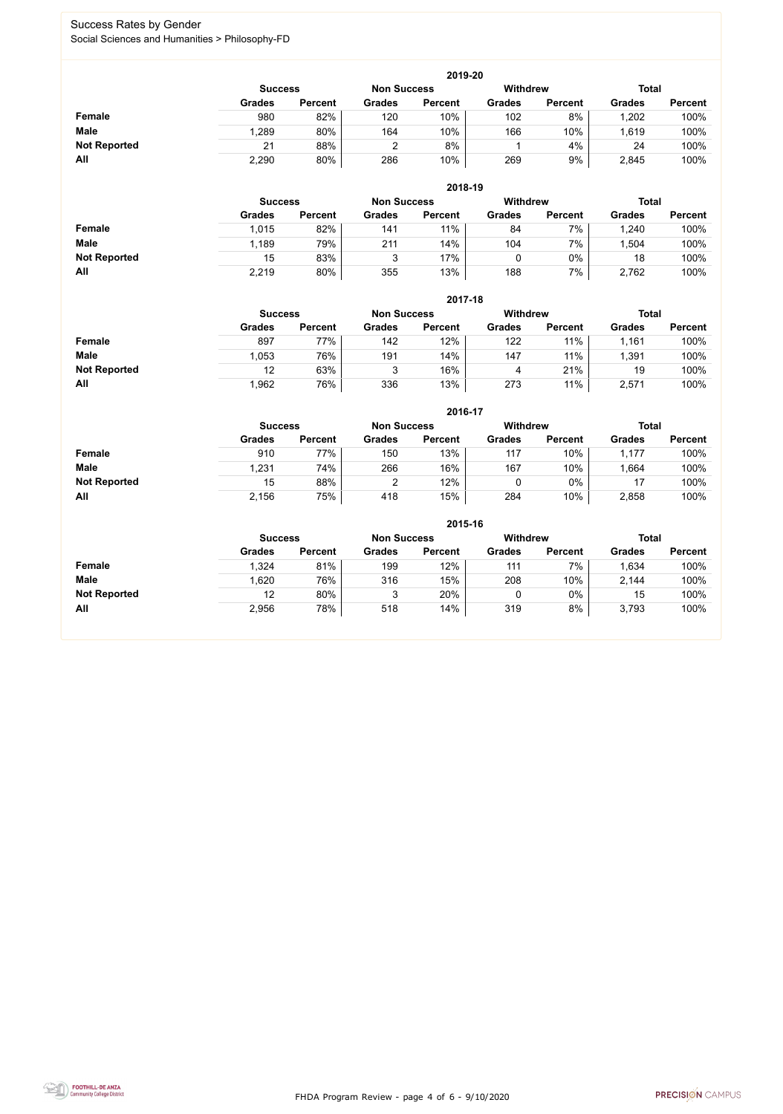FHDA Program Review - page 4 of 6 - 9/10/2020



### Success Rates by Gender Social Sciences and Humanities > Philosophy-FD

|                     | 2019-20                                                                 |                |               |                |               |                |               |                |  |  |  |  |  |
|---------------------|-------------------------------------------------------------------------|----------------|---------------|----------------|---------------|----------------|---------------|----------------|--|--|--|--|--|
|                     | <b>Withdrew</b><br><b>Total</b><br><b>Non Success</b><br><b>Success</b> |                |               |                |               |                |               |                |  |  |  |  |  |
|                     | <b>Grades</b>                                                           | <b>Percent</b> | <b>Grades</b> | <b>Percent</b> | <b>Grades</b> | <b>Percent</b> | <b>Grades</b> | <b>Percent</b> |  |  |  |  |  |
| Female              | 980                                                                     | 82%            | 120           | 10%            | 102           | 8%             | 1,202         | 100%           |  |  |  |  |  |
| <b>Male</b>         | 1,289                                                                   | 80%            | 164           | 10%            | 166           | 10%            | 1,619         | 100%           |  |  |  |  |  |
| <b>Not Reported</b> | 21                                                                      | 88%            |               | 8%             |               | 4%             | 24            | 100%           |  |  |  |  |  |
| All                 | 2,290                                                                   | 80%            | 286           | 10%            | 269           | 9%             | 2,845         | 100%           |  |  |  |  |  |

|                     |               | 2018-19                              |               |                |               |                 |               |                |  |  |  |  |  |  |
|---------------------|---------------|--------------------------------------|---------------|----------------|---------------|-----------------|---------------|----------------|--|--|--|--|--|--|
|                     |               | <b>Non Success</b><br><b>Success</b> |               |                |               | <b>Withdrew</b> | <b>Total</b>  |                |  |  |  |  |  |  |
|                     | <b>Grades</b> | <b>Percent</b>                       | <b>Grades</b> | <b>Percent</b> | <b>Grades</b> | <b>Percent</b>  | <b>Grades</b> | <b>Percent</b> |  |  |  |  |  |  |
| <b>Female</b>       | 1,015         | 82%                                  | 141           | 11%            | 84            | 7%              | 1,240         | 100%           |  |  |  |  |  |  |
| <b>Male</b>         | 1,189         | 79%                                  | 211           | 14%            | 104           | 7%              | ,504          | 100%           |  |  |  |  |  |  |
| <b>Not Reported</b> | 15            | 83%                                  |               | 17%            |               | $0\%$           | 18            | 100%           |  |  |  |  |  |  |
| All                 | 2,219         | 80%                                  | 355           | 13%            | 188           | 7%              | 2,762         | 100%           |  |  |  |  |  |  |

|                     |                | 2017-18        |                    |                |                 |                |               |                |  |  |  |  |  |
|---------------------|----------------|----------------|--------------------|----------------|-----------------|----------------|---------------|----------------|--|--|--|--|--|
|                     | <b>Success</b> |                | <b>Non Success</b> |                | <b>Withdrew</b> |                | <b>Total</b>  |                |  |  |  |  |  |
|                     | <b>Grades</b>  | <b>Percent</b> | <b>Grades</b>      | <b>Percent</b> | <b>Grades</b>   | <b>Percent</b> | <b>Grades</b> | <b>Percent</b> |  |  |  |  |  |
| Female              | 897            | 77%            | 142                | 12%            | 122             | 11%            | 1,161         | 100%           |  |  |  |  |  |
| <b>Male</b>         | .053           | 76%            | 191                | 14%            | 147             | 11%            | ,391          | 100%           |  |  |  |  |  |
| <b>Not Reported</b> | 12             | 63%            | 3                  | 16%            | 4               | 21%            | 19            | 100%           |  |  |  |  |  |
| All                 | 962,           | 76%            | 336                | 13%            | 273             | 11%            | 2,571         | 100%           |  |  |  |  |  |

|                     |                | 2016-17        |                    |                |                 |                |               |                |  |  |
|---------------------|----------------|----------------|--------------------|----------------|-----------------|----------------|---------------|----------------|--|--|
|                     | <b>Success</b> |                | <b>Non Success</b> |                | <b>Withdrew</b> |                | <b>Total</b>  |                |  |  |
|                     | <b>Grades</b>  | <b>Percent</b> | <b>Grades</b>      | <b>Percent</b> | <b>Grades</b>   | <b>Percent</b> | <b>Grades</b> | <b>Percent</b> |  |  |
| <b>Female</b>       | 910            | 77%            | 150                | 13%            | 117             | 10%            | 1,177         | 100%           |  |  |
| <b>Male</b>         | 1,231          | 74%            | 266                | 16%            | 167             | 10%            | 1,664         | 100%           |  |  |
| <b>Not Reported</b> | 15             | 88%            |                    | 12%            |                 | $0\%$          | 17            | 100%           |  |  |
| All                 | 2,156          | 75%            | 418                | 15%            | 284             | 10%            | 2,858         | 100%           |  |  |

|                     |                                                  | 2015-16        |               |                |               |                |               |                |  |  |
|---------------------|--------------------------------------------------|----------------|---------------|----------------|---------------|----------------|---------------|----------------|--|--|
|                     | Withdrew<br><b>Non Success</b><br><b>Success</b> |                |               |                |               |                | <b>Total</b>  |                |  |  |
|                     | <b>Grades</b>                                    | <b>Percent</b> | <b>Grades</b> | <b>Percent</b> | <b>Grades</b> | <b>Percent</b> | <b>Grades</b> | <b>Percent</b> |  |  |
| Female              | 1,324                                            | 81%            | 199           | 12%            | 111           | 7%             | 1,634         | 100%           |  |  |
| <b>Male</b>         | 1,620                                            | 76%            | 316           | 15%            | 208           | 10%            | 2,144         | 100%           |  |  |
| <b>Not Reported</b> | 12                                               | 80%            | 3             | 20%            |               | $0\%$          | 15            | 100%           |  |  |
| All                 | 2,956                                            | 78%            | 518           | 14%            | 319           | 8%             | 3,793         | 100%           |  |  |

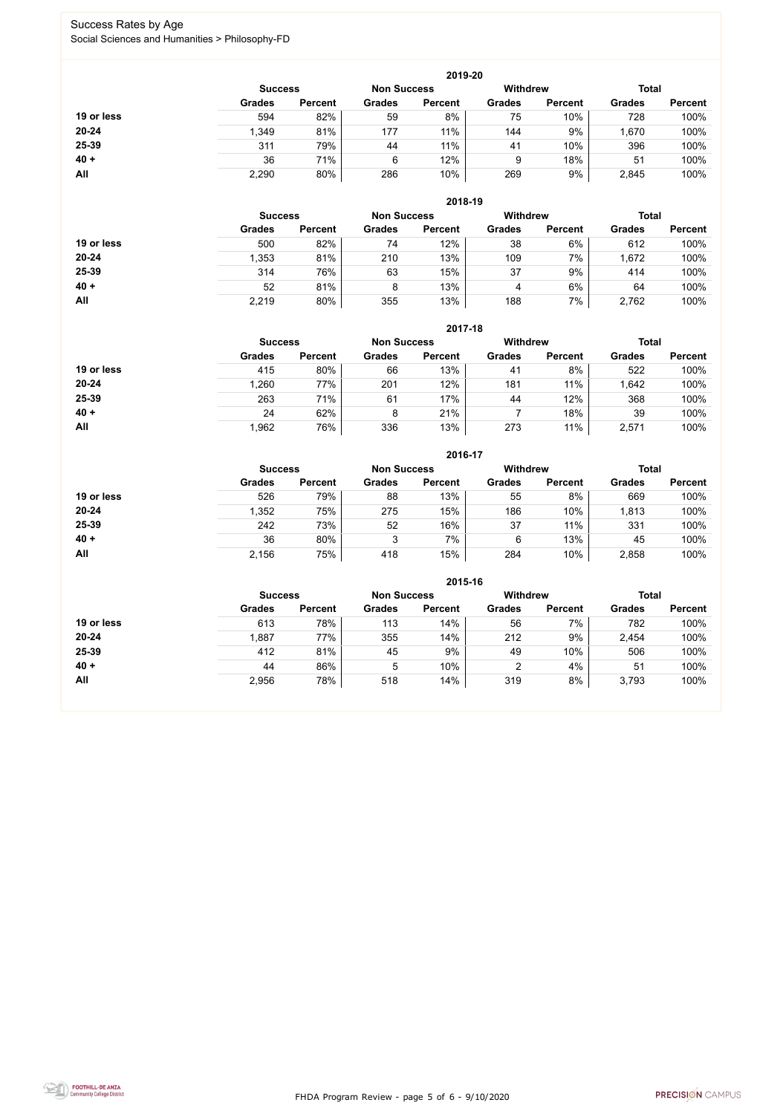FHDA Program Review - page 5 of 6 - 9/10/2020



### Success Rates by Age Social Sciences and Humanities > Philosophy-FD

|            |                |                |                                       | 2019-20        |               |                |               |                |
|------------|----------------|----------------|---------------------------------------|----------------|---------------|----------------|---------------|----------------|
|            | <b>Success</b> |                | <b>Withdrew</b><br><b>Non Success</b> |                | <b>Total</b>  |                |               |                |
|            | <b>Grades</b>  | <b>Percent</b> | <b>Grades</b>                         | <b>Percent</b> | <b>Grades</b> | <b>Percent</b> | <b>Grades</b> | <b>Percent</b> |
| 19 or less | 594            | 82%            | 59                                    | 8%             | 75            | 10%            | 728           | 100%           |
| $20 - 24$  | 1,349          | 81%            | 177                                   | 11%            | 144           | 9%             | 1,670         | 100%           |
| 25-39      | 311            | 79%            | 44                                    | 11%            | 41            | 10%            | 396           | 100%           |
| $40 +$     | 36             | 71%            | 6                                     | 12%            | 9             | 18%            | 51            | 100%           |
| All        | 2,290          | 80%            | 286                                   | 10%            | 269           | 9%             | 2,845         | 100%           |

|            |                |                    |               | 2018-19         |               |                |               |                |
|------------|----------------|--------------------|---------------|-----------------|---------------|----------------|---------------|----------------|
|            | <b>Success</b> | <b>Non Success</b> |               | <b>Withdrew</b> |               | <b>Total</b>   |               |                |
|            | <b>Grades</b>  | <b>Percent</b>     | <b>Grades</b> | <b>Percent</b>  | <b>Grades</b> | <b>Percent</b> | <b>Grades</b> | <b>Percent</b> |
| 19 or less | 500            | 82%                | 74            | 12%             | 38            | 6%             | 612           | 100%           |
| $20 - 24$  | 1,353          | 81%                | 210           | 13%             | 109           | 7%             | 1,672         | 100%           |
| 25-39      | 314            | 76%                | 63            | 15%             | 37            | 9%             | 414           | 100%           |
| $40 +$     | 52             | 81%                | 8             | 13%             | 4             | 6%             | 64            | 100%           |
| All        | 2,219          | 80%                | 355           | 13%             | 188           | 7%             | 2,762         | 100%           |

|            |                                      |                |               | 2017-18        |                 |                |               |                |
|------------|--------------------------------------|----------------|---------------|----------------|-----------------|----------------|---------------|----------------|
|            | <b>Non Success</b><br><b>Success</b> |                |               |                | <b>Withdrew</b> |                | <b>Total</b>  |                |
|            | <b>Grades</b>                        | <b>Percent</b> | <b>Grades</b> | <b>Percent</b> | <b>Grades</b>   | <b>Percent</b> | <b>Grades</b> | <b>Percent</b> |
| 19 or less | 415                                  | 80%            | 66            | 13%            | 41              | 8%             | 522           | 100%           |
| $20 - 24$  | 1,260                                | 77%            | 201           | 12%            | 181             | 11%            | ,642          | 100%           |
| 25-39      | 263                                  | 71%            | 61            | 17%            | 44              | 12%            | 368           | 100%           |
| $40 +$     | 24                                   | 62%            | 8             | 21%            |                 | 18%            | 39            | 100%           |
| <b>All</b> | 1,962                                | 76%            | 336           | 13%            | 273             | 11%            | 2,571         | 100%           |

|            |                |                    |               | 2016-17         |               |                |               |                |
|------------|----------------|--------------------|---------------|-----------------|---------------|----------------|---------------|----------------|
|            | <b>Success</b> | <b>Non Success</b> |               | <b>Withdrew</b> |               | <b>Total</b>   |               |                |
|            | <b>Grades</b>  | <b>Percent</b>     | <b>Grades</b> | <b>Percent</b>  | <b>Grades</b> | <b>Percent</b> | <b>Grades</b> | <b>Percent</b> |
| 19 or less | 526            | 79%                | 88            | 13%             | 55            | 8%             | 669           | 100%           |
| $20 - 24$  | 1,352          | 75%                | 275           | 15%             | 186           | 10%            | 1,813         | 100%           |
| 25-39      | 242            | 73%                | 52            | 16%             | 37            | 11%            | 331           | 100%           |
| $40 +$     | 36             | 80%                | 3             | 7%              | 6             | 13%            | 45            | 100%           |
| All        | 2,156          | 75%                | 418           | 15%             | 284           | 10%            | 2,858         | 100%           |

|            |                                      |                |               | 2015-16        |                 |                |               |                |
|------------|--------------------------------------|----------------|---------------|----------------|-----------------|----------------|---------------|----------------|
|            | <b>Non Success</b><br><b>Success</b> |                |               |                | <b>Withdrew</b> |                | <b>Total</b>  |                |
|            | <b>Grades</b>                        | <b>Percent</b> | <b>Grades</b> | <b>Percent</b> | <b>Grades</b>   | <b>Percent</b> | <b>Grades</b> | <b>Percent</b> |
| 19 or less | 613                                  | 78%            | 113           | 14%            | 56              | 7%             | 782           | 100%           |
| $20 - 24$  | ,887                                 | 77%            | 355           | 14%            | 212             | 9%             | 2,454         | 100%           |
| 25-39      | 412                                  | 81%            | 45            | 9%             | 49              | 10%            | 506           | 100%           |
| $40 +$     | 44                                   | 86%            | 5             | 10%            | $\overline{2}$  | 4%             | 51            | 100%           |
| All        | 2,956                                | 78%            | 518           | 14%            | 319             | 8%             | 3,793         | 100%           |